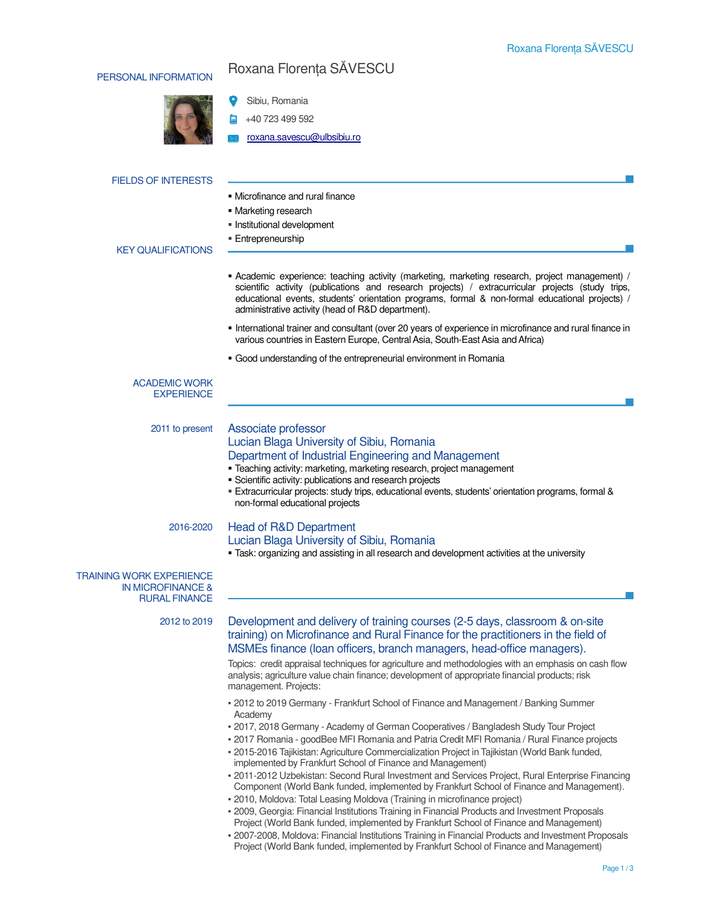## PERSONAL INFORMATION Roxana Florența SĂVESCU



 Sibiu, Romania  $\bullet$ 

- $\frac{1}{2}$  +40 723 499 592
- roxana.savescu@ulbsibiu.ro

| <b>FIELDS OF INTERESTS</b>                                                              |                                                                                                                                                                                                                                                                                                                                                                                   |
|-----------------------------------------------------------------------------------------|-----------------------------------------------------------------------------------------------------------------------------------------------------------------------------------------------------------------------------------------------------------------------------------------------------------------------------------------------------------------------------------|
|                                                                                         | • Microfinance and rural finance                                                                                                                                                                                                                                                                                                                                                  |
|                                                                                         | • Marketing research                                                                                                                                                                                                                                                                                                                                                              |
|                                                                                         | Institutional development                                                                                                                                                                                                                                                                                                                                                         |
| <b>KEY QUALIFICATIONS</b>                                                               | <b>Entrepreneurship</b>                                                                                                                                                                                                                                                                                                                                                           |
|                                                                                         |                                                                                                                                                                                                                                                                                                                                                                                   |
|                                                                                         | • Academic experience: teaching activity (marketing, marketing research, project management) /<br>scientific activity (publications and research projects) / extracurricular projects (study trips,<br>educational events, students' orientation programs, formal & non-formal educational projects) /<br>administrative activity (head of R&D department).                       |
|                                                                                         | International trainer and consultant (over 20 years of experience in microfinance and rural finance in<br>various countries in Eastern Europe, Central Asia, South-East Asia and Africa)                                                                                                                                                                                          |
|                                                                                         | • Good understanding of the entrepreneurial environment in Romania                                                                                                                                                                                                                                                                                                                |
| <b>ACADEMIC WORK</b><br><b>EXPERIENCE</b>                                               |                                                                                                                                                                                                                                                                                                                                                                                   |
| 2011 to present                                                                         | Associate professor                                                                                                                                                                                                                                                                                                                                                               |
|                                                                                         | Lucian Blaga University of Sibiu, Romania<br>Department of Industrial Engineering and Management<br>· Teaching activity: marketing, marketing research, project management<br>· Scientific activity: publications and research projects<br>Extracurricular projects: study trips, educational events, students' orientation programs, formal &<br>non-formal educational projects |
| 2016-2020                                                                               | <b>Head of R&amp;D Department</b>                                                                                                                                                                                                                                                                                                                                                 |
|                                                                                         | Lucian Blaga University of Sibiu, Romania<br>• Task: organizing and assisting in all research and development activities at the university                                                                                                                                                                                                                                        |
| <b>TRAINING WORK EXPERIENCE</b><br><b>IN MICROFINANCE &amp;</b><br><b>RURAL FINANCE</b> |                                                                                                                                                                                                                                                                                                                                                                                   |
| 2012 to 2019                                                                            | Development and delivery of training courses (2-5 days, classroom & on-site<br>training) on Microfinance and Rural Finance for the practitioners in the field of<br>MSMEs finance (Ioan officers, branch managers, head-office managers).                                                                                                                                         |
|                                                                                         | Topics: credit appraisal techniques for agriculture and methodologies with an emphasis on cash flow<br>analysis; agriculture value chain finance; development of appropriate financial products; risk<br>management. Projects:                                                                                                                                                    |
|                                                                                         | . 2012 to 2019 Germany - Frankfurt School of Finance and Management / Banking Summer<br>Academy                                                                                                                                                                                                                                                                                   |
|                                                                                         | - 2017, 2018 Germany - Academy of German Cooperatives / Bangladesh Study Tour Project<br>- 2017 Romania - goodBee MFI Romania and Patria Credit MFI Romania / Rural Finance projects                                                                                                                                                                                              |

- 2015-2016 Tajikistan: Agriculture Commercialization Project in Tajikistan (World Bank funded, implemented by Frankfurt School of Finance and Management)
- 2011-2012 Uzbekistan: Second Rural Investment and Services Project, Rural Enterprise Financing Component (World Bank funded, implemented by Frankfurt School of Finance and Management).
- 2010, Moldova: Total Leasing Moldova (Training in microfinance project)
- 2009, Georgia: Financial Institutions Training in Financial Products and Investment Proposals Project (World Bank funded, implemented by Frankfurt School of Finance and Management)
- 2007-2008, Moldova: Financial Institutions Training in Financial Products and Investment Proposals Project (World Bank funded, implemented by Frankfurt School of Finance and Management)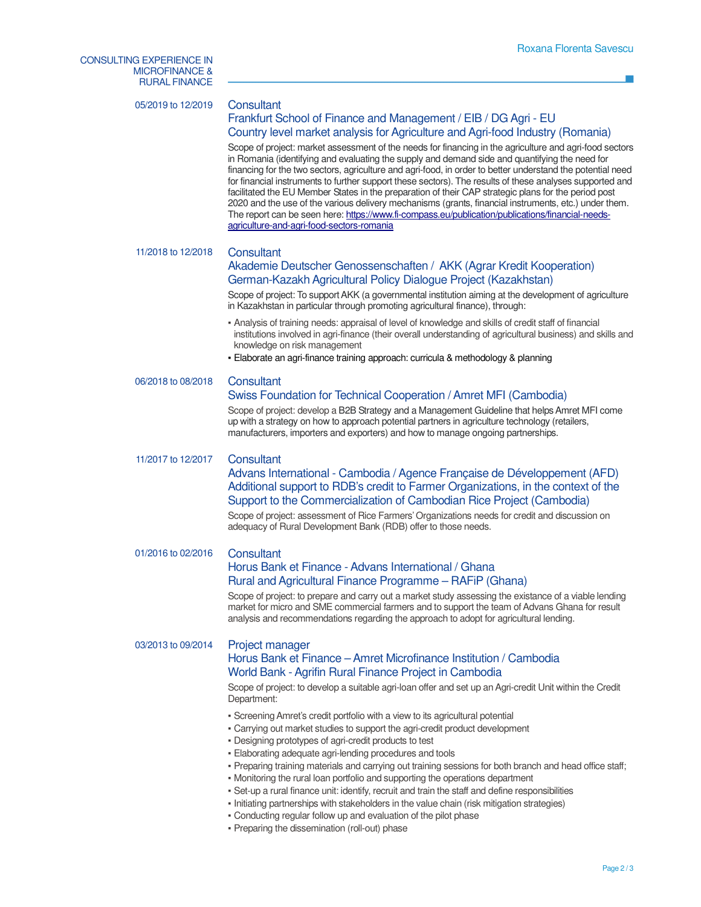<u> 1989 - Johann Barnett, f</u>

| 05/2019 to 12/2019 | Consultant<br>Frankfurt School of Finance and Management / EIB / DG Agri - EU<br>Country level market analysis for Agriculture and Agri-food Industry (Romania)<br>Scope of project: market assessment of the needs for financing in the agriculture and agri-food sectors<br>in Romania (identifying and evaluating the supply and demand side and quantifying the need for<br>financing for the two sectors, agriculture and agri-food, in order to better understand the potential need<br>for financial instruments to further support these sectors). The results of these analyses supported and<br>facilitated the EU Member States in the preparation of their CAP strategic plans for the period post<br>2020 and the use of the various delivery mechanisms (grants, financial instruments, etc.) under them.<br>The report can be seen here: https://www.fi-compass.eu/publication/publications/financial-needs-<br>agriculture-and-agri-food-sectors-romania                                                                                                                 |
|--------------------|------------------------------------------------------------------------------------------------------------------------------------------------------------------------------------------------------------------------------------------------------------------------------------------------------------------------------------------------------------------------------------------------------------------------------------------------------------------------------------------------------------------------------------------------------------------------------------------------------------------------------------------------------------------------------------------------------------------------------------------------------------------------------------------------------------------------------------------------------------------------------------------------------------------------------------------------------------------------------------------------------------------------------------------------------------------------------------------|
| 11/2018 to 12/2018 | Consultant<br>Akademie Deutscher Genossenschaften / AKK (Agrar Kredit Kooperation)<br>German-Kazakh Agricultural Policy Dialogue Project (Kazakhstan)<br>Scope of project: To support AKK (a governmental institution aiming at the development of agriculture<br>in Kazakhstan in particular through promoting agricultural finance), through:<br>- Analysis of training needs: appraisal of level of knowledge and skills of credit staff of financial<br>institutions involved in agri-finance (their overall understanding of agricultural business) and skills and                                                                                                                                                                                                                                                                                                                                                                                                                                                                                                                  |
|                    | knowledge on risk management<br>- Elaborate an agri-finance training approach: curricula & methodology & planning                                                                                                                                                                                                                                                                                                                                                                                                                                                                                                                                                                                                                                                                                                                                                                                                                                                                                                                                                                        |
| 06/2018 to 08/2018 | Consultant<br>Swiss Foundation for Technical Cooperation / Amret MFI (Cambodia)<br>Scope of project: develop a B2B Strategy and a Management Guideline that helps Amret MFI come<br>up with a strategy on how to approach potential partners in agriculture technology (retailers,<br>manufacturers, importers and exporters) and how to manage ongoing partnerships.                                                                                                                                                                                                                                                                                                                                                                                                                                                                                                                                                                                                                                                                                                                    |
| 11/2017 to 12/2017 | Consultant<br>Advans International - Cambodia / Agence Française de Développement (AFD)<br>Additional support to RDB's credit to Farmer Organizations, in the context of the<br>Support to the Commercialization of Cambodian Rice Project (Cambodia)<br>Scope of project: assessment of Rice Farmers' Organizations needs for credit and discussion on<br>adequacy of Rural Development Bank (RDB) offer to those needs.                                                                                                                                                                                                                                                                                                                                                                                                                                                                                                                                                                                                                                                                |
| 01/2016 to 02/2016 | Consultant<br>Horus Bank et Finance - Advans International / Ghana<br>Rural and Agricultural Finance Programme - RAFIP (Ghana)<br>Scope of project: to prepare and carry out a market study assessing the existance of a viable lending<br>market for micro and SME commercial farmers and to support the team of Advans Ghana for result<br>analysis and recommendations regarding the approach to adopt for agricultural lending.                                                                                                                                                                                                                                                                                                                                                                                                                                                                                                                                                                                                                                                      |
| 03/2013 to 09/2014 | Project manager<br>Horus Bank et Finance - Amret Microfinance Institution / Cambodia<br>World Bank - Agrifin Rural Finance Project in Cambodia<br>Scope of project: to develop a suitable agri-loan offer and set up an Agri-credit Unit within the Credit<br>Department:<br>- Screening Amret's credit portfolio with a view to its agricultural potential<br>- Carrying out market studies to support the agri-credit product development<br>- Designing prototypes of agri-credit products to test<br>- Elaborating adequate agri-lending procedures and tools<br>- Preparing training materials and carrying out training sessions for both branch and head office staff;<br>- Monitoring the rural loan portfolio and supporting the operations department<br>- Set-up a rural finance unit: identify, recruit and train the staff and define responsibilities<br>- Initiating partnerships with stakeholders in the value chain (risk mitigation strategies)<br>- Conducting regular follow up and evaluation of the pilot phase<br>- Preparing the dissemination (roll-out) phase |